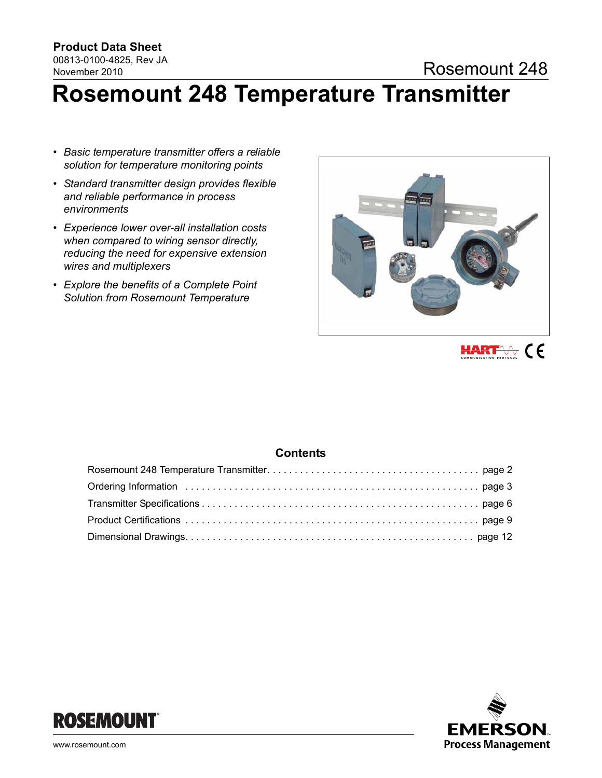# November 2010

# **Rosemount 248 Temperature Transmitter**

- *Basic temperature transmitter offers a reliable solution for temperature monitoring points*
- *Standard transmitter design provides flexible and reliable performance in process environments*
- *Experience lower over-all installation costs when compared to wiring sensor directly, reducing the need for expensive extension wires and multiplexers*
- *Explore the benefits of a Complete Point Solution from Rosemount Temperature*





## **Contents**



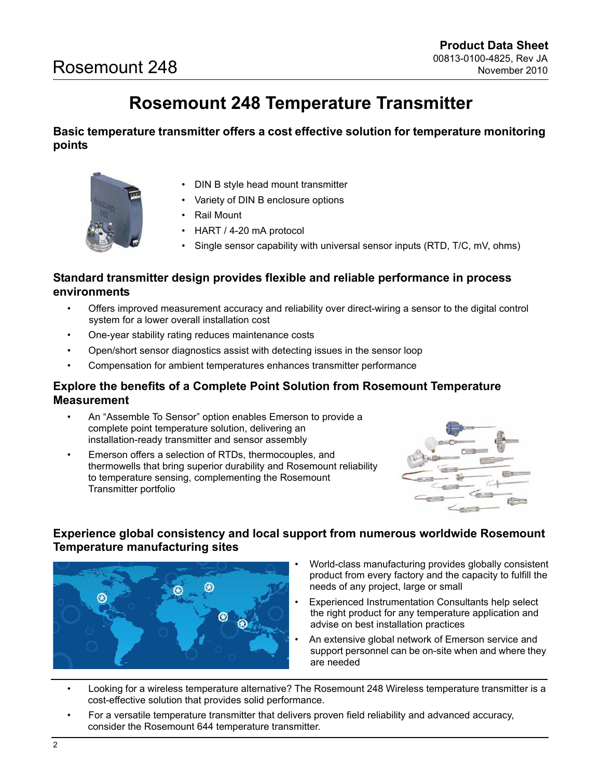# **Rosemount 248 Temperature Transmitter**

<span id="page-1-0"></span>**Basic temperature transmitter offers a cost effective solution for temperature monitoring points** 



- DIN B style head mount transmitter
- Variety of DIN B enclosure options
- **Rail Mount**
- HART / 4-20 mA protocol
- Single sensor capability with universal sensor inputs (RTD, T/C, mV, ohms)

# **Standard transmitter design provides flexible and reliable performance in process environments**

- Offers improved measurement accuracy and reliability over direct-wiring a sensor to the digital control system for a lower overall installation cost
- One-year stability rating reduces maintenance costs
- Open/short sensor diagnostics assist with detecting issues in the sensor loop
- Compensation for ambient temperatures enhances transmitter performance

# **Explore the benefits of a Complete Point Solution from Rosemount Temperature Measurement**

- An "Assemble To Sensor" option enables Emerson to provide a complete point temperature solution, delivering an installation-ready transmitter and sensor assembly
- Emerson offers a selection of RTDs, thermocouples, and thermowells that bring superior durability and Rosemount reliability to temperature sensing, complementing the Rosemount Transmitter portfolio



# **Experience global consistency and local support from numerous worldwide Rosemount Temperature manufacturing sites**



- World-class manufacturing provides globally consistent product from every factory and the capacity to fulfill the needs of any project, large or small
- Experienced Instrumentation Consultants help select the right product for any temperature application and advise on best installation practices
- An extensive global network of Emerson service and support personnel can be on-site when and where they are needed
- Looking for a wireless temperature alternative? The Rosemount 248 Wireless temperature transmitter is a cost-effective solution that provides solid performance.
- For a versatile temperature transmitter that delivers proven field reliability and advanced accuracy, consider the Rosemount 644 temperature transmitter.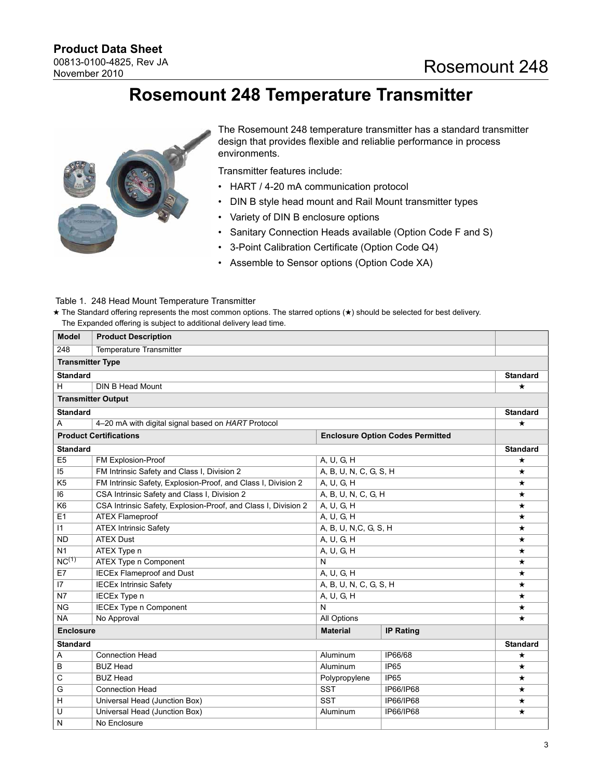# **Rosemount 248 Temperature Transmitter**

<span id="page-2-0"></span>

The Rosemount 248 temperature transmitter has a standard transmitter design that provides flexible and reliablie performance in process environments.

Transmitter features include:

- HART / 4-20 mA communication protocol
- DIN B style head mount and Rail Mount transmitter types
- Variety of DIN B enclosure options
- Sanitary Connection Heads available (Option Code F and S)
- 3-Point Calibration Certificate (Option Code Q4)
- Assemble to Sensor options (Option Code XA)

#### Table 1. 248 Head Mount Temperature Transmitter

★ The Standard offering represents the most common options. The starred options (★) should be selected for best delivery. The Expanded offering is subject to additional delivery lead time.

| <b>Model</b>            | <b>Product Description</b>                                                   |                          |                                         |                 |  |  |  |
|-------------------------|------------------------------------------------------------------------------|--------------------------|-----------------------------------------|-----------------|--|--|--|
| 248                     | <b>Temperature Transmitter</b>                                               |                          |                                         |                 |  |  |  |
| <b>Transmitter Type</b> |                                                                              |                          |                                         |                 |  |  |  |
| <b>Standard</b>         |                                                                              |                          |                                         | <b>Standard</b> |  |  |  |
| H                       | DIN B Head Mount                                                             |                          |                                         | $^\star$        |  |  |  |
|                         | <b>Transmitter Output</b>                                                    |                          |                                         |                 |  |  |  |
| <b>Standard</b>         |                                                                              |                          |                                         | <b>Standard</b> |  |  |  |
| A                       | 4-20 mA with digital signal based on HART Protocol                           |                          |                                         | $\star$         |  |  |  |
|                         | <b>Product Certifications</b>                                                |                          | <b>Enclosure Option Codes Permitted</b> |                 |  |  |  |
| <b>Standard</b>         |                                                                              |                          |                                         | <b>Standard</b> |  |  |  |
| E <sub>5</sub>          | FM Explosion-Proof                                                           | A, U, G, H               |                                         | ★               |  |  |  |
| 15                      | FM Intrinsic Safety and Class I, Division 2                                  | A, B, U, N, C, G, S, H   |                                         | $\star$         |  |  |  |
| K <sub>5</sub>          | FM Intrinsic Safety, Explosion-Proof, and Class I, Division 2                | A, U, G, H               |                                         | $\star$         |  |  |  |
| 6                       | CSA Intrinsic Safety and Class I, Division 2                                 | A, B, U, N, C, G, H      |                                         | ★               |  |  |  |
| K <sub>6</sub>          | CSA Intrinsic Safety, Explosion-Proof, and Class I, Division 2<br>A, U, G, H |                          |                                         |                 |  |  |  |
| E <sub>1</sub>          | <b>ATEX Flameproof</b><br>A, U, G, H                                         |                          |                                         |                 |  |  |  |
| $\vert$ 1               | <b>ATEX Intrinsic Safety</b><br>A, B, U, N, C, G, S, H                       |                          |                                         |                 |  |  |  |
| <b>ND</b>               | <b>ATEX Dust</b><br>A, U, G, H                                               |                          |                                         |                 |  |  |  |
| N <sub>1</sub>          | ATEX Type n<br>A, U, G, H                                                    |                          |                                         |                 |  |  |  |
| NC <sup>(1)</sup>       | ATEX Type n Component                                                        | N                        |                                         | $\star$         |  |  |  |
| E7                      | <b>IECEx Flameproof and Dust</b>                                             | $\overline{A}$ , U, G, H | $\star$                                 |                 |  |  |  |
| 17                      | <b>IECEx Intrinsic Safety</b>                                                | A, B, U, N, C, G, S, H   |                                         | $\star$         |  |  |  |
| N <sub>7</sub>          | IECEx Type n                                                                 | A, U, G, H               |                                         | $\star$         |  |  |  |
| <b>NG</b>               | <b>IECEx Type n Component</b>                                                | N                        |                                         | ★               |  |  |  |
| <b>NA</b>               | No Approval                                                                  | All Options              |                                         | $\star$         |  |  |  |
| <b>Enclosure</b>        |                                                                              | <b>Material</b>          | <b>IP Rating</b>                        |                 |  |  |  |
| <b>Standard</b>         |                                                                              |                          |                                         | <b>Standard</b> |  |  |  |
| Α                       | <b>Connection Head</b>                                                       | Aluminum                 | IP66/68                                 | ★               |  |  |  |
| B                       | <b>BUZ Head</b>                                                              | IP65                     | $\star$                                 |                 |  |  |  |
| C                       | <b>BUZ Head</b><br>IP65<br>Polypropylene                                     |                          |                                         |                 |  |  |  |
| G                       | <b>SST</b><br><b>Connection Head</b><br>IP66/IP68                            |                          |                                         |                 |  |  |  |
| H                       | Universal Head (Junction Box)                                                | <b>SST</b>               | IP66/IP68                               | $\star$         |  |  |  |
| U                       | Universal Head (Junction Box)                                                | Aluminum                 | IP66/IP68                               | $\star$         |  |  |  |
| N                       | No Enclosure                                                                 |                          |                                         |                 |  |  |  |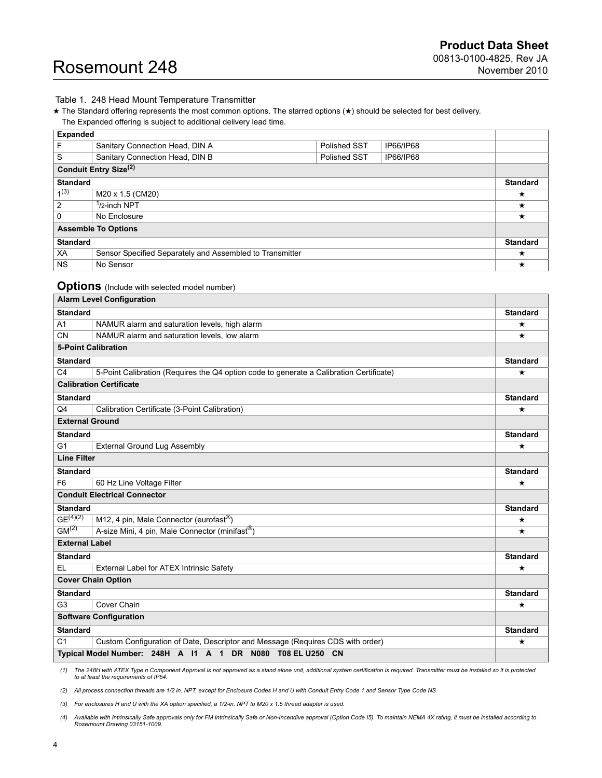#### Table 1. 248 Head Mount Temperature Transmitter

★ The Standard offering represents the most common options. The starred options (★) should be selected for best delivery. The Expanded offering is subject to additional delivery lead time.

| <b>Expanded</b>                                                |                                                              |  |  |                 |  |  |
|----------------------------------------------------------------|--------------------------------------------------------------|--|--|-----------------|--|--|
| F                                                              | Sanitary Connection Head, DIN A<br>IP66/IP68<br>Polished SST |  |  |                 |  |  |
| S                                                              | Sanitary Connection Head, DIN B<br>Polished SST<br>IP66/IP68 |  |  |                 |  |  |
|                                                                | Conduit Entry Size <sup>(2)</sup>                            |  |  |                 |  |  |
| <b>Standard</b>                                                |                                                              |  |  |                 |  |  |
| $1^{(3)}$                                                      | M20 x 1.5 (CM20)                                             |  |  |                 |  |  |
| $\overline{2}$<br><sup>1</sup> /2-inch NPT                     |                                                              |  |  |                 |  |  |
| $\mathbf{0}$<br>No Enclosure                                   |                                                              |  |  |                 |  |  |
| <b>Assemble To Options</b>                                     |                                                              |  |  |                 |  |  |
| <b>Standard</b>                                                |                                                              |  |  | <b>Standard</b> |  |  |
| XA<br>Sensor Specified Separately and Assembled to Transmitter |                                                              |  |  | ★               |  |  |
| <b>NS</b>                                                      | No Sensor                                                    |  |  | ★               |  |  |

### **Options** (Include with selected model number)

|                            | <b>Alarm Level Configuration</b>                                                        |                 |
|----------------------------|-----------------------------------------------------------------------------------------|-----------------|
| <b>Standard</b>            |                                                                                         | <b>Standard</b> |
| A1                         | NAMUR alarm and saturation levels, high alarm                                           | ★               |
| <b>CN</b>                  | NAMUR alarm and saturation levels, low alarm                                            | $\star$         |
| <b>5-Point Calibration</b> |                                                                                         |                 |
| <b>Standard</b>            |                                                                                         | <b>Standard</b> |
| C <sub>4</sub>             | 5-Point Calibration (Requires the Q4 option code to generate a Calibration Certificate) | $^\star$        |
|                            | <b>Calibration Certificate</b>                                                          |                 |
| <b>Standard</b>            |                                                                                         | <b>Standard</b> |
| Q4                         | Calibration Certificate (3-Point Calibration)                                           | $\star$         |
| <b>External Ground</b>     |                                                                                         |                 |
| <b>Standard</b>            |                                                                                         | <b>Standard</b> |
| G <sub>1</sub>             | <b>External Ground Lug Assembly</b>                                                     | $\star$         |
| <b>Line Filter</b>         |                                                                                         |                 |
| <b>Standard</b>            |                                                                                         | <b>Standard</b> |
| F <sub>6</sub>             | 60 Hz Line Voltage Filter                                                               | $\star$         |
|                            | <b>Conduit Electrical Connector</b>                                                     |                 |
| <b>Standard</b>            |                                                                                         | <b>Standard</b> |
| $GE^{(4)(2)}$              | M12, 4 pin, Male Connector (eurofast <sup>®</sup> )                                     | $\star$         |
| GM <sup>(2)</sup>          | A-size Mini, 4 pin, Male Connector (minifast®)                                          | $\star$         |
| <b>External Label</b>      |                                                                                         |                 |
| <b>Standard</b>            |                                                                                         | <b>Standard</b> |
| EL                         | External Label for ATEX Intrinsic Safety                                                | ★               |
|                            | <b>Cover Chain Option</b>                                                               |                 |
| <b>Standard</b>            |                                                                                         | <b>Standard</b> |
| G <sub>3</sub>             | Cover Chain                                                                             | $\star$         |
|                            | <b>Software Configuration</b>                                                           |                 |
| <b>Standard</b>            |                                                                                         | <b>Standard</b> |
| C <sub>1</sub>             | Custom Configuration of Date, Descriptor and Message (Requires CDS with order)          | ★               |
|                            | Typical Model Number: 248H A I1 A 1 DR N080 T08 EL U250 CN                              |                 |

(1) The 248H with ATEX Type n Component Approval is not approved as a stand alone unit, additional system certification is required. Transmitter must be installed so it is protected<br>to at least the requirements of IP54.

<span id="page-3-0"></span>*(2) All process connection threads are 1/2 in. NPT, except for Enclosure Codes H and U with Conduit Entry Code 1 and Sensor Type Code NS*

*(3) For enclosures H and U with the XA option specified, a 1/2-in. NPT to M20 x 1.5 thread adapter is used.*

4) Available with Intrinsically Safe approvals only for FM Intrinsically Safe or Non-Incendive approval (Option Code I5). To maintain NEMA 4X rating, it must be installed according to<br>Rosemount Drawing 03151-1009.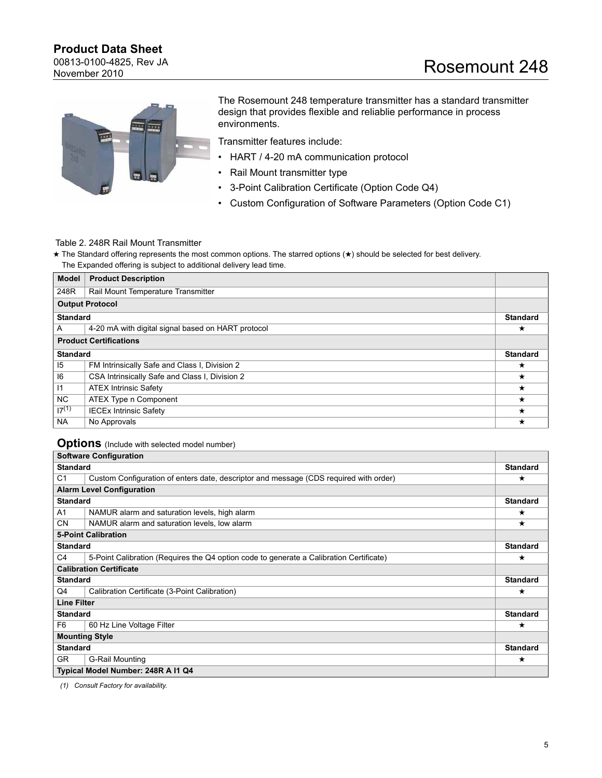00813-0100-4825, Rev JA November 2010



The Rosemount 248 temperature transmitter has a standard transmitter design that provides flexible and reliablie performance in process environments.

Transmitter features include:

- HART / 4-20 mA communication protocol
- Rail Mount transmitter type
- 3-Point Calibration Certificate (Option Code Q4)
- Custom Configuration of Software Parameters (Option Code C1)

### Table 2. 248R Rail Mount Transmitter

★ The Standard offering represents the most common options. The starred options (★) should be selected for best delivery. The Expanded offering is subject to additional delivery lead time.

| <b>Model</b>    | <b>Product Description</b>                         |                 |
|-----------------|----------------------------------------------------|-----------------|
| 248R            | Rail Mount Temperature Transmitter                 |                 |
|                 | <b>Output Protocol</b>                             |                 |
| <b>Standard</b> |                                                    | <b>Standard</b> |
| A               | 4-20 mA with digital signal based on HART protocol | $\star$         |
|                 | <b>Product Certifications</b>                      |                 |
| <b>Standard</b> |                                                    | <b>Standard</b> |
| 15              | FM Intrinsically Safe and Class I, Division 2      | ★               |
| 6               | CSA Intrinsically Safe and Class I, Division 2     | $\star$         |
| $\vert$ 1       | <b>ATEX Intrinsic Safety</b>                       | $\star$         |
| NC.             | ATEX Type n Component                              | $^\star$        |
| $17^{(1)}$      | <b>IECEx Intrinsic Safety</b>                      | $\star$         |
| <b>NA</b>       | No Approvals                                       | $^\star$        |

### **Options** (Include with selected model number)

|                                | <b>Software Configuration</b>                                                           |                 |
|--------------------------------|-----------------------------------------------------------------------------------------|-----------------|
| <b>Standard</b>                |                                                                                         | <b>Standard</b> |
| C <sub>1</sub>                 | Custom Configuration of enters date, descriptor and message (CDS required with order)   | ★               |
|                                | <b>Alarm Level Configuration</b>                                                        |                 |
| <b>Standard</b>                |                                                                                         | <b>Standard</b> |
| A1                             | NAMUR alarm and saturation levels, high alarm                                           | ★               |
| <b>CN</b>                      | NAMUR alarm and saturation levels, low alarm                                            | $\star$         |
| <b>5-Point Calibration</b>     |                                                                                         |                 |
| <b>Standard</b>                |                                                                                         | <b>Standard</b> |
| C4                             | 5-Point Calibration (Requires the Q4 option code to generate a Calibration Certificate) | $^\star$        |
| <b>Calibration Certificate</b> |                                                                                         |                 |
| <b>Standard</b>                |                                                                                         | <b>Standard</b> |
| Q4                             | Calibration Certificate (3-Point Calibration)                                           | ★               |
| <b>Line Filter</b>             |                                                                                         |                 |
| <b>Standard</b>                |                                                                                         | <b>Standard</b> |
| F <sub>6</sub>                 | 60 Hz Line Voltage Filter                                                               | ★               |
| <b>Mounting Style</b>          |                                                                                         |                 |
| <b>Standard</b>                |                                                                                         | <b>Standard</b> |
| GR                             | G-Rail Mounting                                                                         | ★               |
|                                | Typical Model Number: 248R A I1 Q4                                                      |                 |

*(1) Consult Factory for availability.*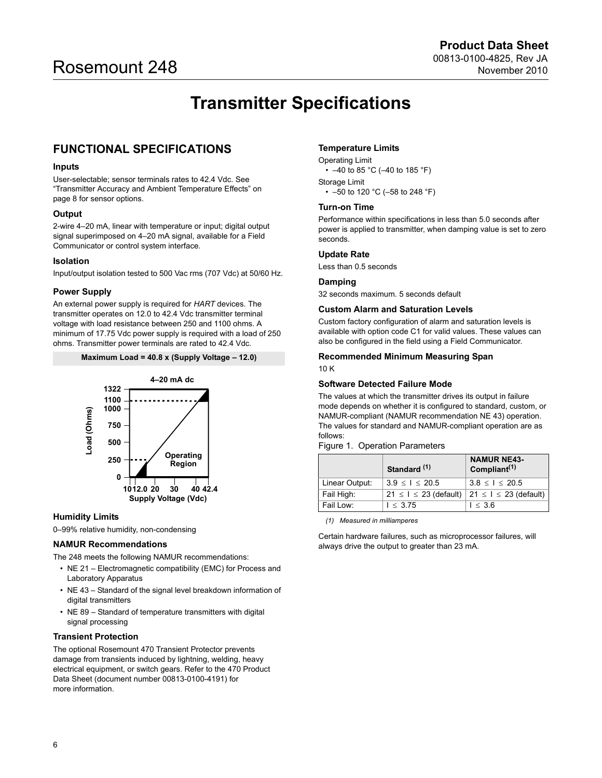# **Transmitter Specifications**

# <span id="page-5-0"></span>**FUNCTIONAL SPECIFICATIONS**

#### **Inputs**

User-selectable; sensor terminals rates to 42.4 Vdc. See ["Transmitter Accuracy and Ambient Temperature Effects" on](#page-7-0)  [page 8](#page-7-0) for sensor options.

#### **Output**

2-wire 4–20 mA, linear with temperature or input; digital output signal superimposed on 4–20 mA signal, available for a Field Communicator or control system interface.

#### **Isolation**

Input/output isolation tested to 500 Vac rms (707 Vdc) at 50/60 Hz.

#### **Power Supply**

An external power supply is required for *HART* devices. The transmitter operates on 12.0 to 42.4 Vdc transmitter terminal voltage with load resistance between 250 and 1100 ohms. A minimum of 17.75 Vdc power supply is required with a load of 250 ohms. Transmitter power terminals are rated to 42.4 Vdc.

#### **Maximum Load = 40.8 x (Supply Voltage – 12.0)**



#### **Humidity Limits**

0–99% relative humidity, non-condensing

#### **NAMUR Recommendations**

The 248 meets the following NAMUR recommendations:

- NE 21 Electromagnetic compatibility (EMC) for Process and Laboratory Apparatus
- NE 43 Standard of the signal level breakdown information of digital transmitters
- NE 89 Standard of temperature transmitters with digital signal processing

#### **Transient Protection**

The optional Rosemount 470 Transient Protector prevents damage from transients induced by lightning, welding, heavy electrical equipment, or switch gears. Refer to the 470 Product Data Sheet (document number 00813-0100-4191) for more information.

#### **Temperature Limits**

Operating Limit •  $-40$  to 85 °C ( $-40$  to 185 °F) Storage Limit • –50 to 120 °C (–58 to 248 °F)

#### **Turn-on Time**

Performance within specifications in less than 5.0 seconds after power is applied to transmitter, when damping value is set to zero seconds.

#### **Update Rate**

Less than 0.5 seconds

#### **Damping**

32 seconds maximum. 5 seconds default

#### **Custom Alarm and Saturation Levels**

Custom factory configuration of alarm and saturation levels is available with option code C1 for valid values. These values can also be configured in the field using a Field Communicator.

#### **Recommended Minimum Measuring Span**

10 K

#### **Software Detected Failure Mode**

The values at which the transmitter drives its output in failure mode depends on whether it is configured to standard, custom, or NAMUR-compliant (NAMUR recommendation NE 43) operation. The values for standard and NAMUR-compliant operation are as follows:

<span id="page-5-2"></span>Figure 1. Operation Parameters

| Standard <sup>(1)</sup> |                               | <b>NAMUR NE43-</b><br>Compliant <sup>(1)</sup> |
|-------------------------|-------------------------------|------------------------------------------------|
| Linear Output:          | 3.9 < I < 20.5                | $3.8 \leq l \leq 20.5$                         |
| Fail High:              | $21 \leq l \leq 23$ (default) | $21 \le l \le 23$ (default)                    |
| Fail Low:               | 1 < 3.75                      | l ≤ 3.6                                        |

<span id="page-5-1"></span>*(1) Measured in milliamperes*

Certain hardware failures, such as microprocessor failures, will always drive the output to greater than 23 mA.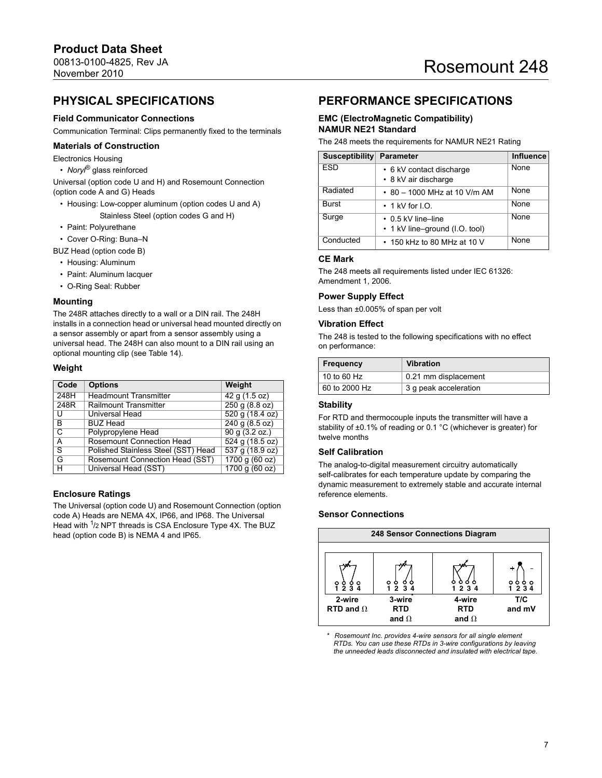# **PHYSICAL SPECIFICATIONS**

#### **Field Communicator Connections**

Communication Terminal: Clips permanently fixed to the terminals

#### **Materials of Construction**

Electronics Housing

• *Noryl*® glass reinforced

Universal (option code U and H) and Rosemount Connection (option code A and G) Heads

- Housing: Low-copper aluminum (option codes U and A) Stainless Steel (option codes G and H)
- Paint: Polyurethane
- Cover O-Ring: Buna–N

BUZ Head (option code B)

- Housing: Aluminum
- Paint: Aluminum lacquer
- O-Ring Seal: Rubber

#### **Mounting**

The 248R attaches directly to a wall or a DIN rail. The 248H installs in a connection head or universal head mounted directly on a sensor assembly or apart from a sensor assembly using a universal head. The 248H can also mount to a DIN rail using an optional mounting clip (see [Table 14\)](#page-13-0).

#### **Weight**

| Code                    | <b>Options</b>                      | Weight                       |
|-------------------------|-------------------------------------|------------------------------|
| 248H                    | <b>Headmount Transmitter</b>        | 42q(1.5oz)                   |
| 248R                    | <b>Railmount Transmitter</b>        | 250q(8.8 oz)                 |
| U                       | <b>Universal Head</b>               | 520q(18.4oz)                 |
| B                       | <b>BUZ Head</b>                     | 240q(8.5oz)                  |
| $\overline{\mathsf{c}}$ | Polypropylene Head                  | 90 g (3.2 oz.)               |
| A                       | <b>Rosemount Connection Head</b>    | 524 g (18.5 oz)              |
| उ                       | Polished Stainless Steel (SST) Head | $\overline{537}$ g (18.9 oz) |
| G                       | Rosemount Connection Head (SST)     | 1700 g (60 oz)               |
| н                       | Universal Head (SST)                | 1700 g (60 oz)               |

#### **Enclosure Ratings**

The Universal (option code U) and Rosemount Connection (option code A) Heads are NEMA 4X, IP66, and IP68. The Universal Head with <sup>1</sup>/2 NPT threads is CSA Enclosure Type 4X. The BUZ head (option code B) is NEMA 4 and IP65.

# **PERFORMANCE SPECIFICATIONS**

#### **EMC (ElectroMagnetic Compatibility) NAMUR NE21 Standard**

The 248 meets the requirements for NAMUR NE21 Rating

| Susceptibility | Parameter                                                  | <b>Influence</b> |
|----------------|------------------------------------------------------------|------------------|
| <b>ESD</b>     | • 6 kV contact discharge<br>• 8 kV air discharge           | None             |
| Radiated       | • 80 - 1000 MHz at 10 V/m AM                               | None             |
| Burst          | $\cdot$ 1 kV for I.O.                                      | None             |
| Surge          | $\cdot$ 0.5 kV line-line<br>• 1 kV line-ground (I.O. tool) | None             |
| Conducted      | • 150 kHz to 80 MHz at 10 V                                | None             |

### **CE Mark**

The 248 meets all requirements listed under IEC 61326: Amendment 1, 2006.

#### **Power Supply Effect**

Less than ±0.005% of span per volt

#### **Vibration Effect**

The 248 is tested to the following specifications with no effect on performance:

| <b>Frequency</b> | <b>Vibration</b>      |
|------------------|-----------------------|
| $10$ to 60 Hz    | 0.21 mm displacement  |
| 60 to 2000 Hz    | 3 g peak acceleration |

#### **Stability**

For RTD and thermocouple inputs the transmitter will have a stability of ±0.1% of reading or 0.1 °C (whichever is greater) for twelve months

#### **Self Calibration**

The analog-to-digital measurement circuitry automatically self-calibrates for each temperature update by comparing the dynamic measurement to extremely stable and accurate internal reference elements.

#### **Sensor Connections**



*\* Rosemount Inc. provides 4-wire sensors for all single element RTDs. You can use these RTDs in 3-wire configurations by leaving the unneeded leads disconnected and insulated with electrical tape.*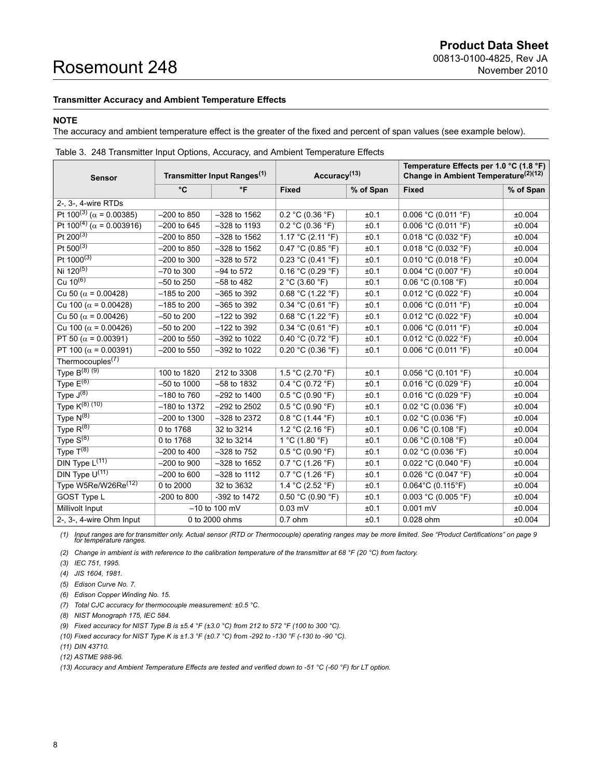#### <span id="page-7-0"></span>**Transmitter Accuracy and Ambient Temperature Effects**

#### **NOTE**

The accuracy and ambient temperature effect is the greater of the fixed and percent of span values (see example below).

| <b>Sensor</b>                             | Transmitter Input Ranges <sup>(1)</sup> |                  | Accuracy <sup>(13)</sup>          |           | Temperature Effects per 1.0 °C (1.8 °F)<br>Change in Ambient Temperature <sup>(2)(12)</sup> |           |  |
|-------------------------------------------|-----------------------------------------|------------------|-----------------------------------|-----------|---------------------------------------------------------------------------------------------|-----------|--|
|                                           | °C                                      | $\mathsf{P}$     | <b>Fixed</b>                      | % of Span | <b>Fixed</b>                                                                                | % of Span |  |
| 2-, 3-, 4-wire RTDs                       |                                         |                  |                                   |           |                                                                                             |           |  |
| Pt $100^{(3)}$ ( $\alpha$ = 0.00385)      | $-200$ to $850$                         | $-328$ to 1562   | 0.2 °C (0.36 °F)                  | ±0.1      | 0.006 °C (0.011 °F)                                                                         | ±0.004    |  |
| Pt $100^{(4)}$ ( $\alpha$ = 0.003916)     | $-200$ to 645                           | $-328$ to 1193   | 0.2 °C (0.36 °F)                  | ±0.1      | 0.006 °C (0.011 °F)                                                                         | ±0.004    |  |
| Pt $200^{(3)}$                            | $-200$ to 850                           | $-328$ to $1562$ | 1.17 °C (2.11 °F)                 | ±0.1      | 0.018 °C (0.032 °F)                                                                         | ±0.004    |  |
| Pt $500^{(3)}$                            | $-200$ to 850                           | $-328$ to 1562   | $0.47 \degree C (0.85 \degree F)$ | ±0.1      | 0.018 °C (0.032 °F)                                                                         | ±0.004    |  |
| $Pt$ 1000 <sup>(3)</sup>                  | $-200$ to 300                           | $-328$ to 572    | 0.23 °C (0.41 °F)                 | ±0.1      | 0.010 °C (0.018 °F)                                                                         | ±0.004    |  |
| Ni $120^{(5)}$                            | $-70$ to 300                            | $-94$ to 572     | 0.16 °C (0.29 °F)                 | ±0.1      | $0.004$ °C (0.007 °F)                                                                       | ±0.004    |  |
| Cu $10^{(6)}$                             | $-50$ to 250                            | $-58$ to 482     | 2 °C (3.60 °F)                    | ±0.1      | 0.06 °C (0.108 °F)                                                                          | ±0.004    |  |
| Cu 50 ( $\alpha$ = 0.00428)               | $-185$ to 200                           | $-365$ to 392    | 0.68 °C (1.22 °F)                 | ±0.1      | 0.012 °C (0.022 °F)                                                                         | ±0.004    |  |
| Cu 100 ( $\alpha$ = 0.00428)              | $-185$ to 200                           | $-365$ to 392    | 0.34 °C (0.61 °F)                 | ±0.1      | 0.006 °C (0.011 °F)                                                                         | ±0.004    |  |
| Cu 50 ( $\alpha$ = 0.00426)               | $-50$ to 200                            | $-122$ to 392    | 0.68 °C (1.22 °F)                 | ±0.1      | 0.012 °C (0.022 °F)                                                                         | ±0.004    |  |
| Cu 100 ( $\alpha$ = 0.00426)              | $-50$ to 200                            | $-122$ to 392    | 0.34 °C (0.61 °F)                 | ±0.1      | $0.006$ °C (0.011 °F)                                                                       | ±0.004    |  |
| PT 50 ( $\alpha$ = 0.00391)               | $-200$ to 550                           | $-392$ to 1022   | 0.40 °C (0.72 °F)                 | ±0.1      | 0.012 °C (0.022 °F)                                                                         | ±0.004    |  |
| PT 100 ( $\alpha$ = 0.00391)              | $-200$ to 550                           | -392 to 1022     | 0.20 °C (0.36 °F)                 | ±0.1      | 0.006 °C (0.011 °F)                                                                         | ±0.004    |  |
| Thermocouples <sup><math>(7)</math></sup> |                                         |                  |                                   |           |                                                                                             |           |  |
| Type $B^{(8)(9)}$                         | 100 to 1820                             | 212 to 3308      | 1.5 °C (2.70 °F)                  | ±0.1      | $0.056$ °C (0.101 °F)                                                                       | ±0.004    |  |
| Type $E^{(8)}$                            | $-50$ to 1000                           | $-58$ to 1832    | 0.4 °C (0.72 °F)                  | ±0.1      | $0.016$ °C (0.029 °F)                                                                       | ±0.004    |  |
| Type $J^{(8)}$                            | $-180$ to $760$                         | $-292$ to 1400   | 0.5 °C (0.90 °F)                  | ±0.1      | 0.016 °C (0.029 °F)                                                                         | ±0.004    |  |
| Type K <sup>(8)</sup> (10)                | $-180$ to 1372                          | $-292$ to $2502$ | 0.5 °C (0.90 °F)                  | ±0.1      | $0.02$ °C (0.036 °F)                                                                        | ±0.004    |  |
| Type $N^{(8)}$                            | $-200$ to 1300                          | $-328$ to 2372   | $0.8 °C$ (1.44 °F)                | ±0.1      | $0.02$ °C (0.036 °F)                                                                        | ±0.004    |  |
| Type $R^{(8)}$                            | 0 to 1768                               | 32 to 3214       | 1.2 °C (2.16 °F)                  | ±0.1      | 0.06 °C (0.108 °F)                                                                          | ±0.004    |  |
| Type $S^{(8)}$                            | 0 to 1768                               | 32 to 3214       | 1 °C (1.80 $\degree$ F)           | ±0.1      | $0.06$ °C (0.108 °F)                                                                        | ±0.004    |  |
| Type $T^{(8)}$                            | $-200$ to 400                           | $-328$ to $752$  | 0.5 °C (0.90 °F)                  | ±0.1      | $0.02$ °C (0.036 °F)                                                                        | ±0.004    |  |
| $DIN$ Type $L^{(11)}$                     | $-200$ to $900$                         | $-328$ to 1652   | $\overline{0.7}$ °C (1.26 °F)     | ±0.1      | $0.022$ °C (0.040 °F)                                                                       | ±0.004    |  |
| DIN Type $U^{(11)}$                       | $-200$ to 600                           | $-328$ to 1112   | $0.7 °C$ (1.26 °F)                | ±0.1      | $0.026$ °C (0.047 °F)                                                                       | ±0.004    |  |
| Type W5Re/W26Re <sup>(12)</sup>           | 0 to 2000                               | 32 to 3632       | 1.4 °C (2.52 °F)                  | ±0.1      | $0.064^{\circ}$ C (0.115 $^{\circ}$ F)                                                      | ±0.004    |  |
| GOST Type L                               | -200 to 800                             | -392 to 1472     | 0.50 °C (0.90 °F)                 | ±0.1      | $0.003$ °C (0.005 °F)                                                                       | ±0.004    |  |
| Millivolt Input                           |                                         | $-10$ to 100 mV  | $0.03$ mV                         | ±0.1      | $0.001$ mV                                                                                  | ±0.004    |  |
| 2-, 3-, 4-wire Ohm Input                  |                                         | 0 to 2000 ohms   | $0.7$ ohm                         | ±0.1      | 0.028 ohm<br>±0.004                                                                         |           |  |

|  | Table 3. 248 Transmitter Input Options, Accuracy, and Ambient Temperature Effects |  |  |  |  |
|--|-----------------------------------------------------------------------------------|--|--|--|--|
|  |                                                                                   |  |  |  |  |

[\(1\)](#page-8-0) [I](#page-8-0)nput ranges are for transmitter only. Actual sensor (RTD or Thermocouple) operating ranges may be more limited. See ["Product Certifications" on page 9](#page-8-0)<br>[f](#page-8-0)or temperature ranges.

*(2) Change in ambient is with reference to the calibration temperature of the transmitter at 68 °F (20 °C) from factory.*

<span id="page-7-1"></span>*(3) IEC 751, 1995.* 

*(4) JIS 1604, 1981.* 

*(5) Edison Curve No. 7.*

*(6) Edison Copper Winding No. 15.*

*(7) Total CJC accuracy for thermocouple measurement: ±0.5 °C.*

<span id="page-7-2"></span>*(8) NIST Monograph 175, IEC 584.*

*(9) Fixed accuracy for NIST Type B is ±5.4 °F (±3.0 °C) from 212 to 572 °F (100 to 300 °C).*

*(10) Fixed accuracy for NIST Type K is ±1.3 °F (±0.7 °C) from -292 to -130 °F (-130 to -90 °C).*

<span id="page-7-3"></span>*(11) DIN 43710.*

*(12) ASTME 988-96.*

*(13) Accuracy and Ambient Temperature Effects are tested and verified down to -51 °C (-60 °F) for LT option.*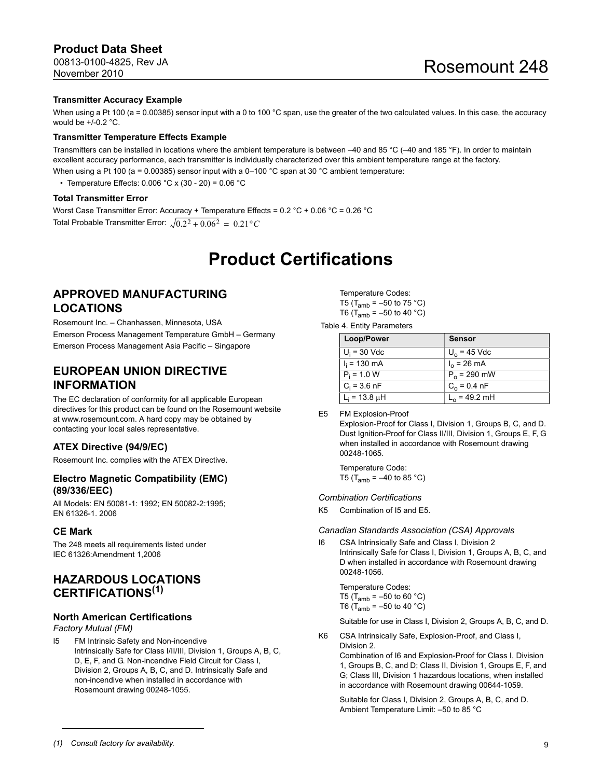# **Product Data Sheet**

00813-0100-4825, Rev JA November 2010

#### **Transmitter Accuracy Example**

When using a Pt 100 (a = 0.00385) sensor input with a 0 to 100 °C span, use the greater of the two calculated values. In this case, the accuracy would be  $+/-0.2$  °C.

#### **Transmitter Temperature Effects Example**

Transmitters can be installed in locations where the ambient temperature is between –40 and 85 °C (–40 and 185 °F). In order to maintain excellent accuracy performance, each transmitter is individually characterized over this ambient temperature range at the factory. When using a Pt 100 ( $a = 0.00385$ ) sensor input with a 0–100 °C span at 30 °C ambient temperature:

• Temperature Effects:  $0.006 °C \times (30 - 20) = 0.06 °C$ 

#### **Total Transmitter Error**

Worst Case Transmitter Error: Accuracy + Temperature Effects = 0.2 °C + 0.06 °C = 0.26 °C Total Probable Transmitter Error:  $\sqrt{0.2^2 + 0.06^2} = 0.21^{\circ}C$ 

# **Product Certifications**

## <span id="page-8-0"></span>**APPROVED MANUFACTURING LOCATIONS**

Rosemount Inc. – Chanhassen, Minnesota, USA Emerson Process Management Temperature GmbH – Germany Emerson Process Management Asia Pacific – Singapore

## **EUROPEAN UNION DIRECTIVE INFORMATION**

The EC declaration of conformity for all applicable European directives for this product can be found on the Rosemount website at www.rosemount.com. A hard copy may be obtained by contacting your local sales representative.

#### **ATEX Directive (94/9/EC)**

Rosemount Inc. complies with the ATEX Directive.

#### **Electro Magnetic Compatibility (EMC) (89/336/EEC)**

All Models: EN 50081-1: 1992; EN 50082-2:1995; EN 61326-1. 2006

#### **CE Mark**

The 248 meets all requirements listed under IEC 61326:Amendment 1,2006

## **HAZARDOUS LOCATIONS CERTIFICATIONS(1)**

#### **North American Certifications**

*Factory Mutual (FM)* 

I5 FM Intrinsic Safety and Non-incendive Intrinsically Safe for Class I/II/III, Division 1, Groups A, B, C, D, E, F, and G. Non-incendive Field Circuit for Class I, Division 2, Groups A, B, C, and D. Intrinsically Safe and non-incendive when installed in accordance with Rosemount drawing 00248-1055.

Temperature Codes: T5 (T<sub>amb</sub> =  $-50$  to 75 °C) T6 ( $T_{amb} = -50$  to 40 °C)

Table 4. Entity Parameters

| Loop/Power         | <b>Sensor</b>         |
|--------------------|-----------------------|
| $U_i$ = 30 Vdc     | $U_0$ = 45 Vdc        |
| $I_i = 130$ mA     | $I_0 = 26 \text{ mA}$ |
| $P_i = 1.0 W$      | $P_0$ = 290 mW        |
| $C_i = 3.6$ nF     | $C_0 = 0.4$ nF        |
| $L_i = 13.8 \mu H$ | $L_0$ = 49.2 mH       |

E5 FM Explosion-Proof

Explosion-Proof for Class I, Division 1, Groups B, C, and D. Dust Ignition-Proof for Class II/III, Division 1, Groups E, F, G when installed in accordance with Rosemount drawing 00248-1065.

Temperature Code: T5 ( $T_{amb} = -40$  to 85 °C)

#### *Combination Certifications*

K5 Combination of I5 and E5.

*Canadian Standards Association (CSA) Approvals*

I6 CSA Intrinsically Safe and Class I, Division 2 Intrinsically Safe for Class I, Division 1, Groups A, B, C, and D when installed in accordance with Rosemount drawing 00248-1056.

Temperature Codes: T5 (T<sub>amb</sub> =  $-50$  to 60 °C) T6 ( $T_{amb} = -50$  to 40 °C)

Suitable for use in Class I, Division 2, Groups A, B, C, and D.

K6 CSA Intrinsically Safe, Explosion-Proof, and Class I, Division 2.

> Combination of I6 and Explosion-Proof for Class I, Division 1, Groups B, C, and D; Class II, Division 1, Groups E, F, and G; Class III, Division 1 hazardous locations, when installed in accordance with Rosemount drawing 00644-1059.

Suitable for Class I, Division 2, Groups A, B, C, and D. Ambient Temperature Limit: –50 to 85 °C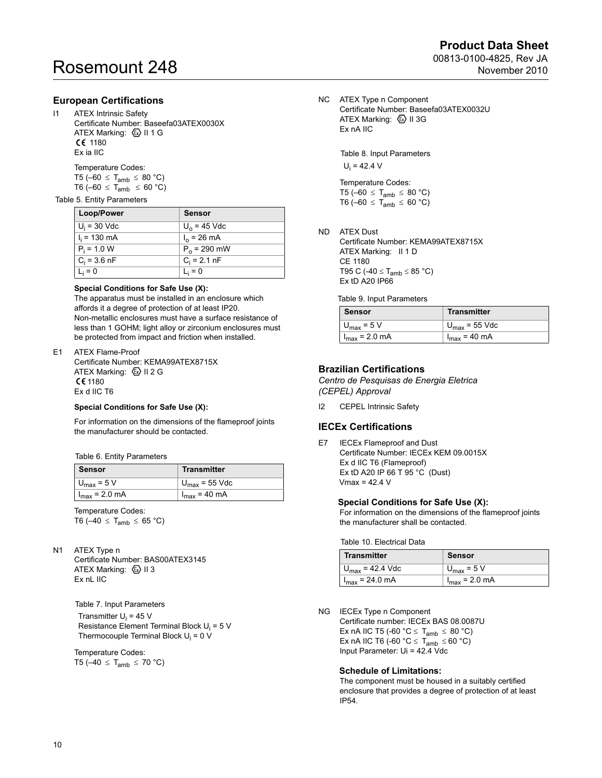#### **European Certifications**

I1 ATEX Intrinsic Safety Certificate Number: Baseefa03ATEX0030X ATEX Marking:  $\textcircled{k}$  II 1 G CE 1180 Ex ia IIC

> Temperature Codes: T5 (-60  $\leq$  T<sub>amb</sub>  $\leq$  80 °C)

T6 (-60  $\leq$  T<sub>amb</sub>  $\leq$  60 °C)

#### Table 5. Entity Parameters

| Loop/Power             | <b>Sensor</b>         |
|------------------------|-----------------------|
| $U_i = 30$ Vdc         | $U_0$ = 45 Vdc        |
| $I_i = 130 \text{ mA}$ | $I_0 = 26 \text{ mA}$ |
| $P_i = 1.0 W$          | $P_0$ = 290 mW        |
| $C_i = 3.6$ nF         | $C_i = 2.1$ nF        |
| $L_i = 0$              | $L_i = 0$             |

#### **Special Conditions for Safe Use (X):**

The apparatus must be installed in an enclosure which affords it a degree of protection of at least IP20. Non-metallic enclosures must have a surface resistance of less than 1 GOHM; light alloy or zirconium enclosures must be protected from impact and friction when installed.

#### E1 ATEX Flame-Proof

Certificate Number: KEMA99ATEX8715X ATEX Marking: 4 II 2 G  $C61180$ Ex d IIC T6

#### **Special Conditions for Safe Use (X):**

For information on the dimensions of the flameproof joints the manufacturer should be contacted.

Table 6. Entity Parameters

| Sensor                 | <b>Transmitter</b>        |  |
|------------------------|---------------------------|--|
| $U_{\text{max}}$ = 5 V | $U_{\text{max}}$ = 55 Vdc |  |
| $I_{max}$ = 2.0 mA     | $I_{max}$ = 40 mA         |  |

Temperature Codes: T6 ( $-40 \leq T_{amb} \leq 65 \degree C$ )

N1 ATEX Type n

Certificate Number: BAS00ATEX3145 ATEX Marking:  $\textcircled{\scriptsize{\text{L}}}$  II 3 Ex nL IIC

 Table 7. Input Parameters Transmitter U<sub>i</sub> = 45 V Resistance Element Terminal Block U<sub>i</sub> = 5 V Thermocouple Terminal Block U<sub>i</sub> = 0 V

Temperature Codes: T5 ( $-40 \leq T_{amb} \leq 70$  °C) NC ATEX Type n Component Certificate Number: Baseefa03ATEX0032U ATEX Marking:  $\textcircled{\tiny{\textcircled{\tiny{M}}}}$  II 3G Ex nA IIC

> Table 8. Input Parameters  $U_i = 42.4 V$

Temperature Codes: T5 ( $-60 \leq T_{amb} \leq 80 \degree C$ ) T6 (-60  $\leq$  T<sub>amb</sub>  $\leq$  60 °C)

ND ATEX Dust Certificate Number: KEMA99ATEX8715X ATEX Marking: II 1 D CE 1180

T95 C (-40  $\leq$  T<sub>amb</sub>  $\leq$  85 °C) Ex tD A20 IP66

Table 9. Input Parameters

| <b>Sensor</b>             | <b>Transmitter</b>        |
|---------------------------|---------------------------|
| $U_{\text{max}}$ = 5 V    | $U_{\text{max}}$ = 55 Vdc |
| $I_{\text{max}}$ = 2.0 mA | $I_{\text{max}}$ = 40 mA  |

### **Brazilian Certifications**

*Centro de Pesquisas de Energia Eletrica (CEPEL) Approval*

I2 CEPEL Intrinsic Safety

#### **IECEx Certifications**

E7 IECEx Flameproof and Dust Certificate Number: IECEx KEM 09.0015X Ex d IIC T6 (Flameproof) Ex tD A20 IP 66 T 95 °C (Dust)  $V$ max = 42.4  $V$ 

#### **Special Conditions for Safe Use (X):**

For information on the dimensions of the flameproof joints the manufacturer shall be contacted.

Table 10. Electrical Data

| <b>Transmitter</b>          | Sensor                 |
|-----------------------------|------------------------|
| $U_{\text{max}}$ = 42.4 Vdc | $U_{\text{max}}$ = 5 V |
| $I_{\text{max}}$ = 24.0 mA  | $1_{max}$ = 2.0 mA     |

NG IECEx Type n Component

Certificate number: IECEx BAS 08.0087U Ex nA IIC T5 (-60  $^{\circ}$ C  $\leq$  T<sub>amb</sub>  $\leq$  80  $^{\circ}$ C) Ex nA IIC T6 (-60  $^{\circ}$ C  $\leq$  T<sub>amb</sub>  $\leq$  60  $^{\circ}$ C) Input Parameter: Ui = 42.4 Vdc

#### **Schedule of Limitations:**

The component must be housed in a suitably certified enclosure that provides a degree of protection of at least IP54.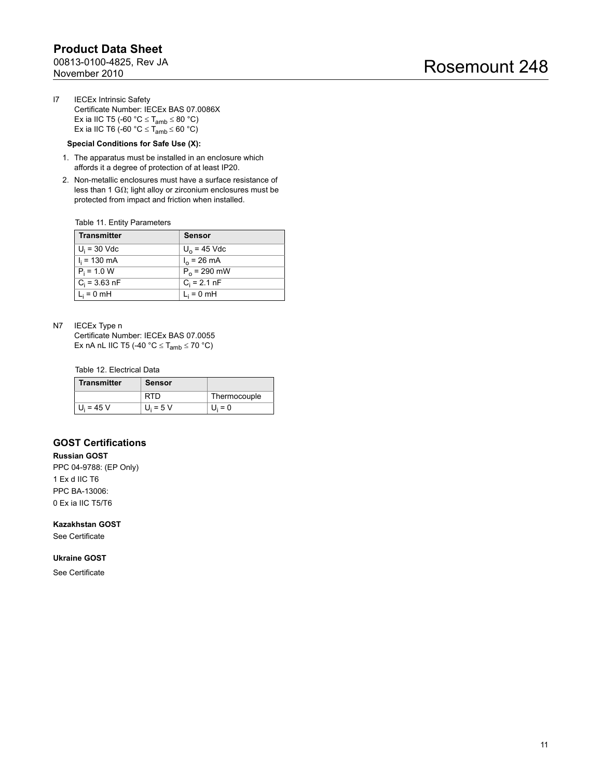I7 IECEx Intrinsic Safety Certificate Number: IECEx BAS 07.0086X Ex ia IIC T5 (-60  $^{\circ}$ C  $\leq$  T<sub>amb</sub>  $\leq$  80  $^{\circ}$ C) Ex ia IIC T6 (-60 °C  $\leq$  T<sub>amb</sub>  $\leq$  60 °C)

#### **Special Conditions for Safe Use (X):**

- 1. The apparatus must be installed in an enclosure which affords it a degree of protection of at least IP20.
- 2. Non-metallic enclosures must have a surface resistance of less than 1 G $\Omega$ ; light alloy or zirconium enclosures must be protected from impact and friction when installed.

Table 11. Entity Parameters

| <b>Transmitter</b> | <b>Sensor</b>         |
|--------------------|-----------------------|
| $U_i$ = 30 Vdc     | $U_0$ = 45 Vdc        |
| $I_i = 130$ mA     | $I_0 = 26 \text{ mA}$ |
| $P_i = 1.0 W$      | $P_0$ = 290 mW        |
| $C_i = 3.63$ nF    | $C_i = 2.1$ nF        |
| $L_i = 0$ mH       | $L_i = 0$ mH          |

N7 IECEx Type n

Certificate Number: IECEx BAS 07.0055 Ex nA nL IIC T5 (-40  $^{\circ}$ C  $\leq$  T<sub>amb</sub>  $\leq$  70  $^{\circ}$ C)

Table 12. Electrical Data

| <b>Transmitter</b> | Sensor      |              |
|--------------------|-------------|--------------|
|                    | RTD         | Thermocouple |
| $U_i = 45 V$       | $U_i = 5 V$ | $U_i = 0$    |

### **GOST Certifications**

**Russian GOST** PPC 04-9788: (EP Only) 1 Ex d IIC T6 PPC BA-13006: 0 Ex ia IIC T5/T6

**Kazakhstan GOST**

See Certificate

#### **Ukraine GOST**

See Certificate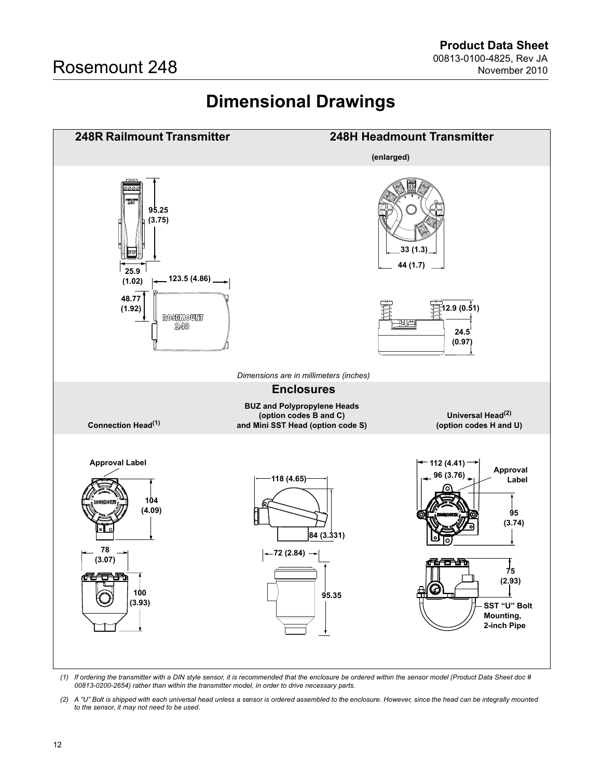# **Dimensional Drawings**

<span id="page-11-0"></span>

*(1) If ordering the transmitter with a DIN style sensor, it is recommended that the enclosure be ordered within the sensor model (Product Data Sheet doc # 00813-0200-2654) rather than within the transmitter model, in order to drive necessary parts.*

*(2) A "U" Bolt is shipped with each universal head unless a sensor is ordered assembled to the enclosure. However, since the head can be integrally mounted to the sensor, it may not need to be used.*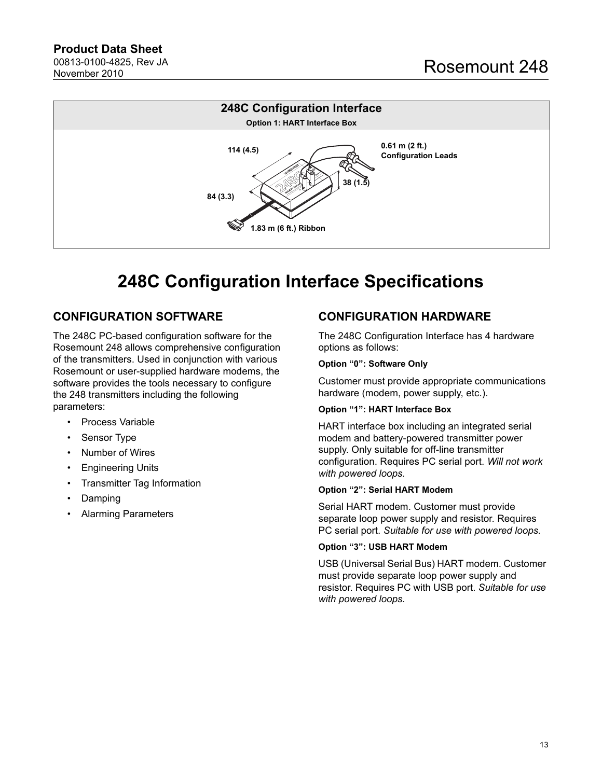### **Product Data Sheet** 00813-0100-4825, Rev JA

November 2010



# **248C Configuration Interface Specifications**

# **CONFIGURATION SOFTWARE**

The 248C PC-based configuration software for the Rosemount 248 allows comprehensive configuration of the transmitters. Used in conjunction with various Rosemount or user-supplied hardware modems, the software provides the tools necessary to configure the 248 transmitters including the following parameters:

- Process Variable
- Sensor Type
- Number of Wires
- **Engineering Units**
- Transmitter Tag Information
- Damping
- Alarming Parameters

# **CONFIGURATION HARDWARE**

The 248C Configuration Interface has 4 hardware options as follows:

#### **Option "0": Software Only**

Customer must provide appropriate communications hardware (modem, power supply, etc.).

#### **Option "1": HART Interface Box**

HART interface box including an integrated serial modem and battery-powered transmitter power supply. Only suitable for off-line transmitter configuration. Requires PC serial port. *Will not work with powered loops.*

#### **Option "2": Serial HART Modem**

Serial HART modem. Customer must provide separate loop power supply and resistor. Requires PC serial port. *Suitable for use with powered loops.*

### **Option "3": USB HART Modem**

USB (Universal Serial Bus) HART modem. Customer must provide separate loop power supply and resistor. Requires PC with USB port. *Suitable for use with powered loops.*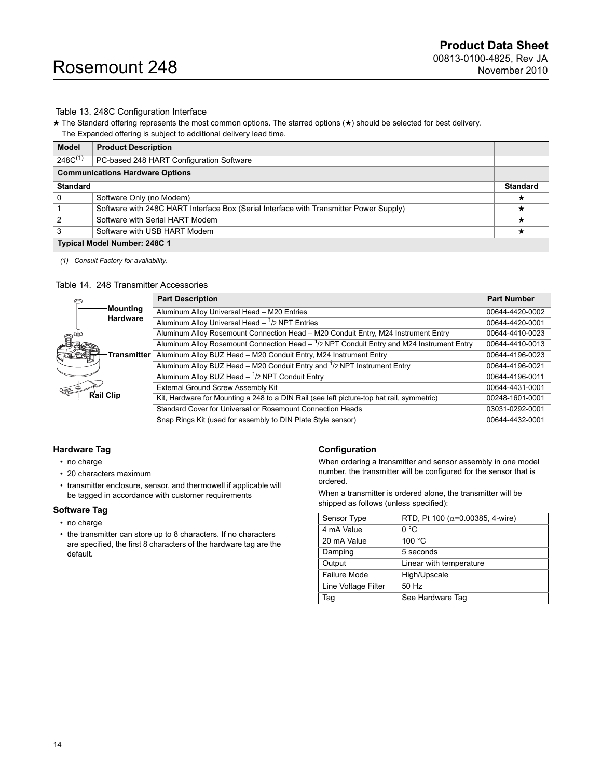#### Table 13. 248C Configuration Interface

★ The Standard offering represents the most common options. The starred options (★) should be selected for best delivery. The Expanded offering is subject to additional delivery lead time.

| <b>Model</b>                 | <b>Product Description</b>                                                             |                 |
|------------------------------|----------------------------------------------------------------------------------------|-----------------|
| $248C^{(1)}$                 | PC-based 248 HART Configuration Software                                               |                 |
|                              | <b>Communications Hardware Options</b>                                                 |                 |
| <b>Standard</b>              |                                                                                        | <b>Standard</b> |
| <b>0</b>                     | Software Only (no Modem)                                                               |                 |
|                              | Software with 248C HART Interface Box (Serial Interface with Transmitter Power Supply) | ★               |
| $\overline{2}$               | Software with Serial HART Modem                                                        |                 |
| 3                            | Software with USB HART Modem                                                           |                 |
| Typical Model Number: 248C 1 |                                                                                        |                 |

*(1) Consult Factory for availability.*

#### <span id="page-13-0"></span>Table 14. 248 Transmitter Accessories

|                                  |             | <b>Part Description</b>                                                                            | <b>Part Number</b> |
|----------------------------------|-------------|----------------------------------------------------------------------------------------------------|--------------------|
|                                  | Mounting    | Aluminum Alloy Universal Head - M20 Entries                                                        | 00644-4420-0002    |
|                                  | Hardware    | Aluminum Alloy Universal Head $ \frac{1}{2}$ NPT Entries                                           | 00644-4420-0001    |
| $\mathbf{a}^{\mathbf{\epsilon}}$ |             | Aluminum Alloy Rosemount Connection Head - M20 Conduit Entry, M24 Instrument Entry                 | 00644-4410-0023    |
|                                  |             | Aluminum Alloy Rosemount Connection Head $ \frac{1}{2}$ NPT Conduit Entry and M24 Instrument Entry | 00644-4410-0013    |
|                                  | Transmitter | Aluminum Alloy BUZ Head - M20 Conduit Entry, M24 Instrument Entry                                  | 00644-4196-0023    |
|                                  |             | Aluminum Alloy BUZ Head - M20 Conduit Entry and <sup>1</sup> /2 NPT Instrument Entry               | 00644-4196-0021    |
|                                  |             | Aluminum Alloy BUZ Head - 1/2 NPT Conduit Entry                                                    | 00644-4196-0011    |
| <b>Rail Clip</b>                 |             | External Ground Screw Assembly Kit                                                                 | 00644-4431-0001    |
|                                  |             | Kit, Hardware for Mounting a 248 to a DIN Rail (see left picture-top hat rail, symmetric)          | 00248-1601-0001    |
|                                  |             | Standard Cover for Universal or Rosemount Connection Heads                                         | 03031-0292-0001    |
|                                  |             | Snap Rings Kit (used for assembly to DIN Plate Style sensor)                                       | 00644-4432-0001    |

#### <span id="page-13-1"></span>**Hardware Tag**

- no charge
- 20 characters maximum
- transmitter enclosure, sensor, and thermowell if applicable will be tagged in accordance with customer requirements

#### **Software Tag**

- no charge
- the transmitter can store up to 8 characters. If no characters are specified, the first 8 characters of the hardware tag are the default.

#### **Configuration**

When ordering a transmitter and sensor assembly in one model number, the transmitter will be configured for the sensor that is ordered.

When a transmitter is ordered alone, the transmitter will be shipped as follows (unless specified):

| Sensor Type         | RTD, Pt 100 ( $\alpha$ =0.00385, 4-wire) |
|---------------------|------------------------------------------|
| 4 mA Value          | 0 °C                                     |
| 20 mA Value         | 100 °C                                   |
| Damping             | 5 seconds                                |
| Output              | Linear with temperature                  |
| Failure Mode        | High/Upscale                             |
| Line Voltage Filter | 50 Hz                                    |
| Tag                 | See Hardware Tag                         |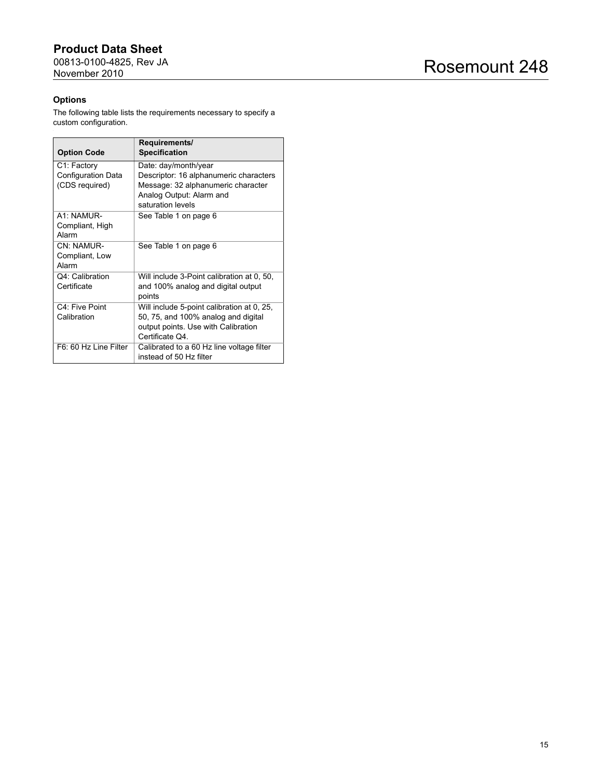### **Product Data Sheet** 00813-0100-4825, Rev JA November 2010

Rosemount 248

### **Options**

The following table lists the requirements necessary to specify a custom configuration.

| <b>Option Code</b>                                  | Requirements/<br><b>Specification</b>                                                                                                                 |
|-----------------------------------------------------|-------------------------------------------------------------------------------------------------------------------------------------------------------|
| C1: Factory<br>Configuration Data<br>(CDS required) | Date: day/month/year<br>Descriptor: 16 alphanumeric characters<br>Message: 32 alphanumeric character<br>Analog Output: Alarm and<br>saturation levels |
| A1: NAMUR-<br>Compliant, High<br>Alarm              | See Table 1 on page 6                                                                                                                                 |
| CN: NAMUR-<br>Compliant, Low<br>Alarm               | See Table 1 on page 6                                                                                                                                 |
| Q4: Calibration<br>Certificate                      | Will include 3-Point calibration at 0, 50,<br>and 100% analog and digital output<br>points                                                            |
| C4: Five Point<br>Calibration                       | Will include 5-point calibration at 0, 25,<br>50, 75, and 100% analog and digital<br>output points. Use with Calibration<br>Certificate Q4.           |
| F6: 60 Hz Line Filter                               | Calibrated to a 60 Hz line voltage filter<br>instead of 50 Hz filter                                                                                  |